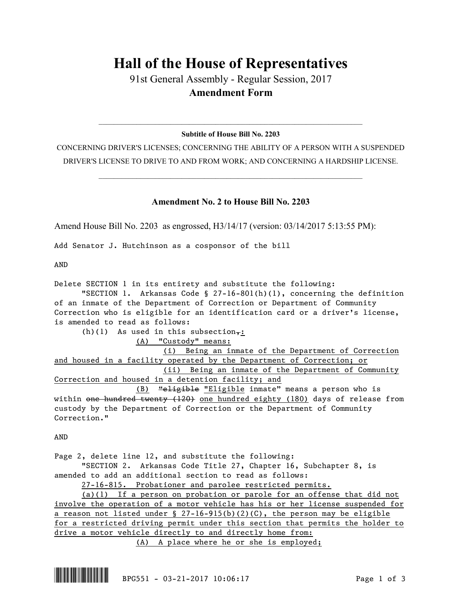## **Hall of the House of Representatives**

91st General Assembly - Regular Session, 2017 **Amendment Form**

## $\mathcal{L}_\mathcal{L} = \mathcal{L}_\mathcal{L} = \mathcal{L}_\mathcal{L} = \mathcal{L}_\mathcal{L} = \mathcal{L}_\mathcal{L} = \mathcal{L}_\mathcal{L} = \mathcal{L}_\mathcal{L} = \mathcal{L}_\mathcal{L} = \mathcal{L}_\mathcal{L} = \mathcal{L}_\mathcal{L} = \mathcal{L}_\mathcal{L} = \mathcal{L}_\mathcal{L} = \mathcal{L}_\mathcal{L} = \mathcal{L}_\mathcal{L} = \mathcal{L}_\mathcal{L} = \mathcal{L}_\mathcal{L} = \mathcal{L}_\mathcal{L}$ **Subtitle of House Bill No. 2203**

CONCERNING DRIVER'S LICENSES; CONCERNING THE ABILITY OF A PERSON WITH A SUSPENDED DRIVER'S LICENSE TO DRIVE TO AND FROM WORK; AND CONCERNING A HARDSHIP LICENSE.

 $\mathcal{L}_\mathcal{L} = \mathcal{L}_\mathcal{L} = \mathcal{L}_\mathcal{L} = \mathcal{L}_\mathcal{L} = \mathcal{L}_\mathcal{L} = \mathcal{L}_\mathcal{L} = \mathcal{L}_\mathcal{L} = \mathcal{L}_\mathcal{L} = \mathcal{L}_\mathcal{L} = \mathcal{L}_\mathcal{L} = \mathcal{L}_\mathcal{L} = \mathcal{L}_\mathcal{L} = \mathcal{L}_\mathcal{L} = \mathcal{L}_\mathcal{L} = \mathcal{L}_\mathcal{L} = \mathcal{L}_\mathcal{L} = \mathcal{L}_\mathcal{L}$ 

## **Amendment No. 2 to House Bill No. 2203**

Amend House Bill No. 2203 as engrossed, H3/14/17 (version: 03/14/2017 5:13:55 PM):

Add Senator J. Hutchinson as a cosponsor of the bill

AND

Delete SECTION 1 in its entirety and substitute the following: "SECTION 1. Arkansas Code §  $27-16-801(h)(1)$ , concerning the definition of an inmate of the Department of Correction or Department of Community Correction who is eligible for an identification card or a driver's license, is amended to read as follows: (h)(1) As used in this subsection,: (A) "Custody" means: (i) Being an inmate of the Department of Correction and housed in a facility operated by the Department of Correction; or (ii) Being an inmate of the Department of Community Correction and housed in a detention facility; and (B) "eligible "Eligible inmate" means a person who is within one hundred twenty (120) one hundred eighty (180) days of release from custody by the Department of Correction or the Department of Community Correction." AND Page 2, delete line 12, and substitute the following: "SECTION 2. Arkansas Code Title 27, Chapter 16, Subchapter 8, is amended to add an additional section to read as follows: 27-16-815. Probationer and parolee restricted permits. (a)(1) If a person on probation or parole for an offense that did not

involve the operation of a motor vehicle has his or her license suspended for a reason not listed under  $\S$  27-16-915(b)(2)(C), the person may be eligible for a restricted driving permit under this section that permits the holder to drive a motor vehicle directly to and directly home from: (A) A place where he or she is employed;

\*.BPG551\* BPG551 - 03-21-2017 10:06:17 Page 1 of 3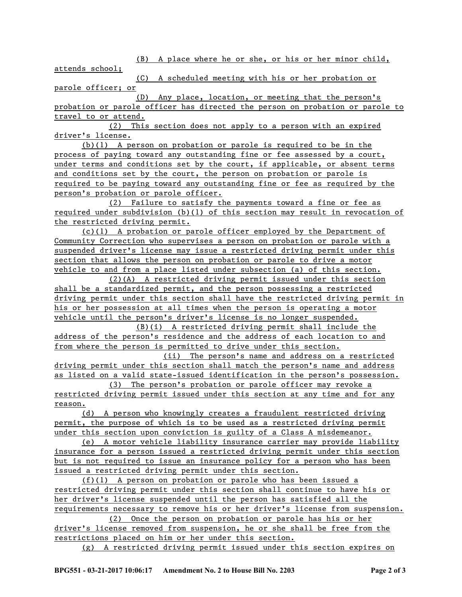(B) A place where he or she, or his or her minor child,

attends school;

(C) A scheduled meeting with his or her probation or parole officer; or

(D) Any place, location, or meeting that the person's probation or parole officer has directed the person on probation or parole to travel to or attend.

(2) This section does not apply to a person with an expired driver's license.

(b)(1) A person on probation or parole is required to be in the process of paying toward any outstanding fine or fee assessed by a court, under terms and conditions set by the court, if applicable, or absent terms and conditions set by the court, the person on probation or parole is required to be paying toward any outstanding fine or fee as required by the person's probation or parole officer.

(2) Failure to satisfy the payments toward a fine or fee as required under subdivision (b)(1) of this section may result in revocation of the restricted driving permit.

(c)(1) A probation or parole officer employed by the Department of Community Correction who supervises a person on probation or parole with a suspended driver's license may issue a restricted driving permit under this section that allows the person on probation or parole to drive a motor vehicle to and from a place listed under subsection (a) of this section.

(2)(A) A restricted driving permit issued under this section shall be a standardized permit, and the person possessing a restricted driving permit under this section shall have the restricted driving permit in his or her possession at all times when the person is operating a motor vehicle until the person's driver's license is no longer suspended.

(B)(i) A restricted driving permit shall include the address of the person's residence and the address of each location to and from where the person is permitted to drive under this section.

(ii) The person's name and address on a restricted driving permit under this section shall match the person's name and address as listed on a valid state-issued identification in the person's possession.

(3) The person's probation or parole officer may revoke a restricted driving permit issued under this section at any time and for any reason.

(d) A person who knowingly creates a fraudulent restricted driving permit, the purpose of which is to be used as a restricted driving permit under this section upon conviction is guilty of a Class A misdemeanor.

(e) A motor vehicle liability insurance carrier may provide liability insurance for a person issued a restricted driving permit under this section but is not required to issue an insurance policy for a person who has been issued a restricted driving permit under this section.

(f)(1) A person on probation or parole who has been issued a restricted driving permit under this section shall continue to have his or her driver's license suspended until the person has satisfied all the requirements necessary to remove his or her driver's license from suspension.

(2) Once the person on probation or parole has his or her driver's license removed from suspension, he or she shall be free from the restrictions placed on him or her under this section.

(g) A restricted driving permit issued under this section expires on